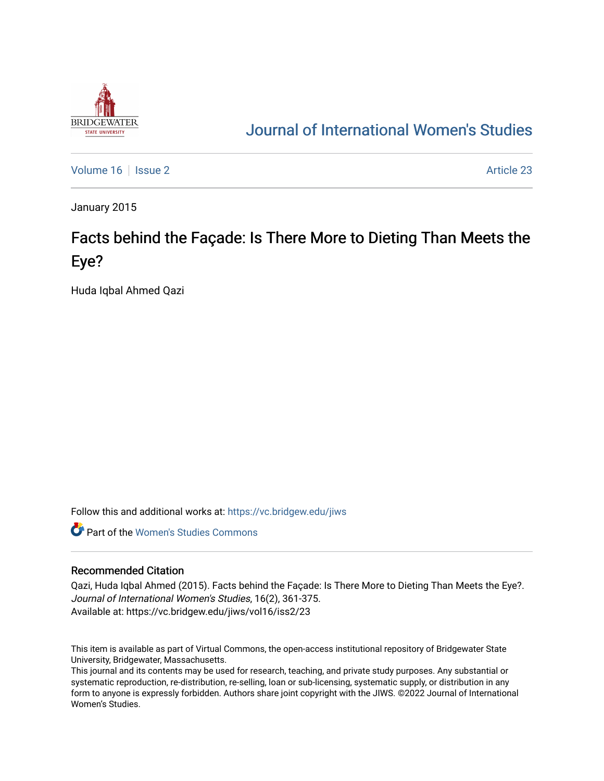

## [Journal of International Women's Studies](https://vc.bridgew.edu/jiws)

[Volume 16](https://vc.bridgew.edu/jiws/vol16) September 23 Article 23

January 2015

# Facts behind the Façade: Is There More to Dieting Than Meets the Eye?

Huda Iqbal Ahmed Qazi

Follow this and additional works at: [https://vc.bridgew.edu/jiws](https://vc.bridgew.edu/jiws?utm_source=vc.bridgew.edu%2Fjiws%2Fvol16%2Fiss2%2F23&utm_medium=PDF&utm_campaign=PDFCoverPages)

**C** Part of the Women's Studies Commons

#### Recommended Citation

Qazi, Huda Iqbal Ahmed (2015). Facts behind the Façade: Is There More to Dieting Than Meets the Eye?. Journal of International Women's Studies, 16(2), 361-375. Available at: https://vc.bridgew.edu/jiws/vol16/iss2/23

This item is available as part of Virtual Commons, the open-access institutional repository of Bridgewater State University, Bridgewater, Massachusetts.

This journal and its contents may be used for research, teaching, and private study purposes. Any substantial or systematic reproduction, re-distribution, re-selling, loan or sub-licensing, systematic supply, or distribution in any form to anyone is expressly forbidden. Authors share joint copyright with the JIWS. ©2022 Journal of International Women's Studies.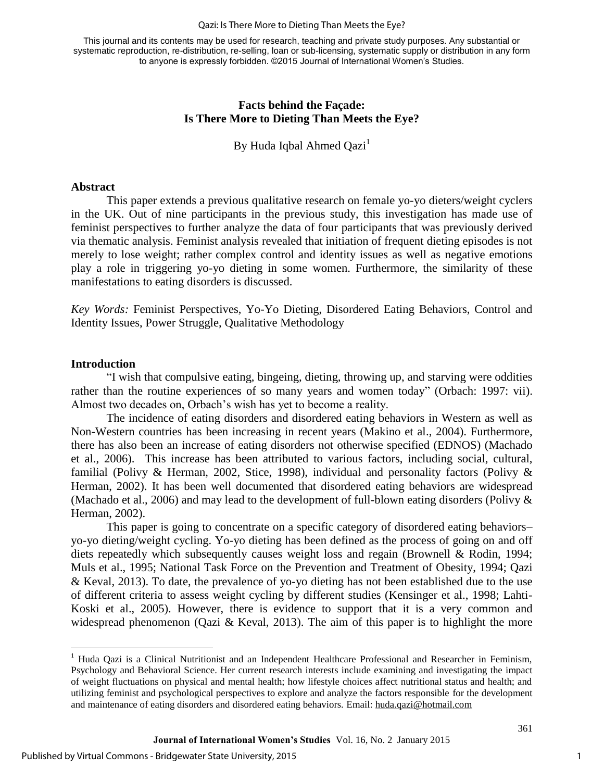#### Qazi: Is There More to Dieting Than Meets the Eye?

This journal and its contents may be used for research, teaching and private study purposes. Any substantial or systematic reproduction, re-distribution, re-selling, loan or sub-licensing, systematic supply or distribution in any form to anyone is expressly forbidden. ©2015 Journal of International Women's Studies.

## **Facts behind the Façade: Is There More to Dieting Than Meets the Eye?**

By Huda Iqbal Ahmed  $Qazi<sup>1</sup>$ 

#### **Abstract**

This paper extends a previous qualitative research on female yo-yo dieters/weight cyclers in the UK. Out of nine participants in the previous study, this investigation has made use of feminist perspectives to further analyze the data of four participants that was previously derived via thematic analysis. Feminist analysis revealed that initiation of frequent dieting episodes is not merely to lose weight; rather complex control and identity issues as well as negative emotions play a role in triggering yo-yo dieting in some women. Furthermore, the similarity of these manifestations to eating disorders is discussed.

*Key Words:* Feminist Perspectives, Yo-Yo Dieting, Disordered Eating Behaviors, Control and Identity Issues, Power Struggle, Qualitative Methodology

#### **Introduction**

 $\overline{a}$ 

"I wish that compulsive eating, bingeing, dieting, throwing up, and starving were oddities rather than the routine experiences of so many years and women today" (Orbach: 1997: vii). Almost two decades on, Orbach's wish has yet to become a reality.

The incidence of eating disorders and disordered eating behaviors in Western as well as Non-Western countries has been increasing in recent years (Makino et al., 2004). Furthermore, there has also been an increase of eating disorders not otherwise specified (EDNOS) (Machado et al., 2006). This increase has been attributed to various factors, including social, cultural, familial (Polivy & Herman, 2002, Stice, 1998), individual and personality factors (Polivy & Herman, 2002). It has been well documented that disordered eating behaviors are widespread (Machado et al., 2006) and may lead to the development of full-blown eating disorders (Polivy & Herman, 2002).

This paper is going to concentrate on a specific category of disordered eating behaviors– yo-yo dieting/weight cycling. Yo-yo dieting has been defined as the process of going on and off diets repeatedly which subsequently causes weight loss and regain (Brownell & Rodin, 1994; Muls et al., 1995; National Task Force on the Prevention and Treatment of Obesity, 1994; Qazi & Keval, 2013). To date, the prevalence of yo-yo dieting has not been established due to the use of different criteria to assess weight cycling by different studies (Kensinger et al., 1998; Lahti-Koski et al., 2005). However, there is evidence to support that it is a very common and widespread phenomenon (Qazi & Keval, 2013). The aim of this paper is to highlight the more

<sup>&</sup>lt;sup>1</sup> Huda Qazi is a Clinical Nutritionist and an Independent Healthcare Professional and Researcher in Feminism, Psychology and Behavioral Science. Her current research interests include examining and investigating the impact of weight fluctuations on physical and mental health; how lifestyle choices affect nutritional status and health; and utilizing feminist and psychological perspectives to explore and analyze the factors responsible for the development and maintenance of eating disorders and disordered eating behaviors. Email: [huda.qazi@hotmail.com](mailto:huda.qazi@hotmail.com)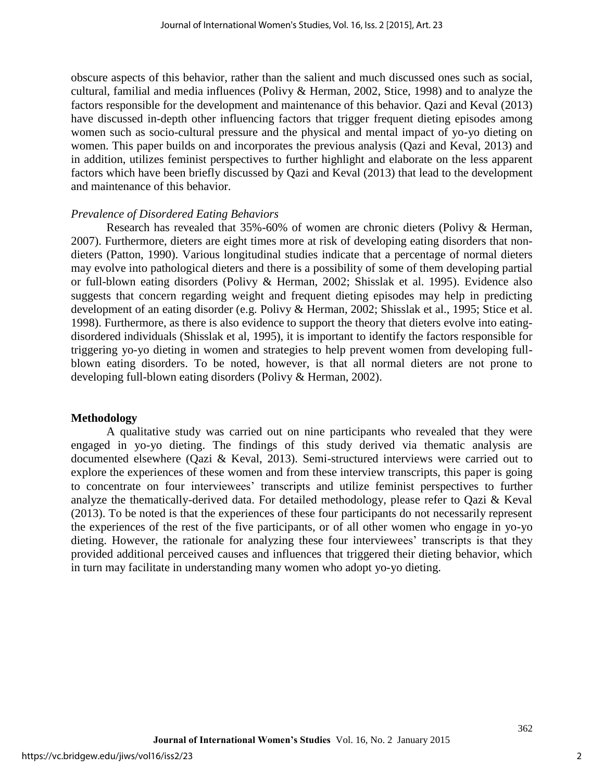obscure aspects of this behavior, rather than the salient and much discussed ones such as social, cultural, familial and media influences (Polivy & Herman, 2002, Stice, 1998) and to analyze the factors responsible for the development and maintenance of this behavior. Qazi and Keval (2013) have discussed in-depth other influencing factors that trigger frequent dieting episodes among women such as socio-cultural pressure and the physical and mental impact of yo-yo dieting on women. This paper builds on and incorporates the previous analysis (Qazi and Keval, 2013) and in addition, utilizes feminist perspectives to further highlight and elaborate on the less apparent factors which have been briefly discussed by Qazi and Keval (2013) that lead to the development and maintenance of this behavior.

## *Prevalence of Disordered Eating Behaviors*

Research has revealed that 35%-60% of women are chronic dieters (Polivy & Herman, 2007). Furthermore, dieters are eight times more at risk of developing eating disorders that nondieters (Patton, 1990). Various longitudinal studies indicate that a percentage of normal dieters may evolve into pathological dieters and there is a possibility of some of them developing partial or full-blown eating disorders (Polivy & Herman, 2002; Shisslak et al. 1995). Evidence also suggests that concern regarding weight and frequent dieting episodes may help in predicting development of an eating disorder (e.g. Polivy & Herman, 2002; Shisslak et al., 1995; Stice et al. 1998). Furthermore, as there is also evidence to support the theory that dieters evolve into eatingdisordered individuals (Shisslak et al, 1995), it is important to identify the factors responsible for triggering yo-yo dieting in women and strategies to help prevent women from developing fullblown eating disorders. To be noted, however, is that all normal dieters are not prone to developing full-blown eating disorders (Polivy & Herman, 2002).

#### **Methodology**

A qualitative study was carried out on nine participants who revealed that they were engaged in yo-yo dieting. The findings of this study derived via thematic analysis are documented elsewhere (Qazi & Keval, 2013). Semi-structured interviews were carried out to explore the experiences of these women and from these interview transcripts, this paper is going to concentrate on four interviewees' transcripts and utilize feminist perspectives to further analyze the thematically-derived data. For detailed methodology, please refer to Qazi & Keval (2013). To be noted is that the experiences of these four participants do not necessarily represent the experiences of the rest of the five participants, or of all other women who engage in yo-yo dieting. However, the rationale for analyzing these four interviewees' transcripts is that they provided additional perceived causes and influences that triggered their dieting behavior, which in turn may facilitate in understanding many women who adopt yo-yo dieting.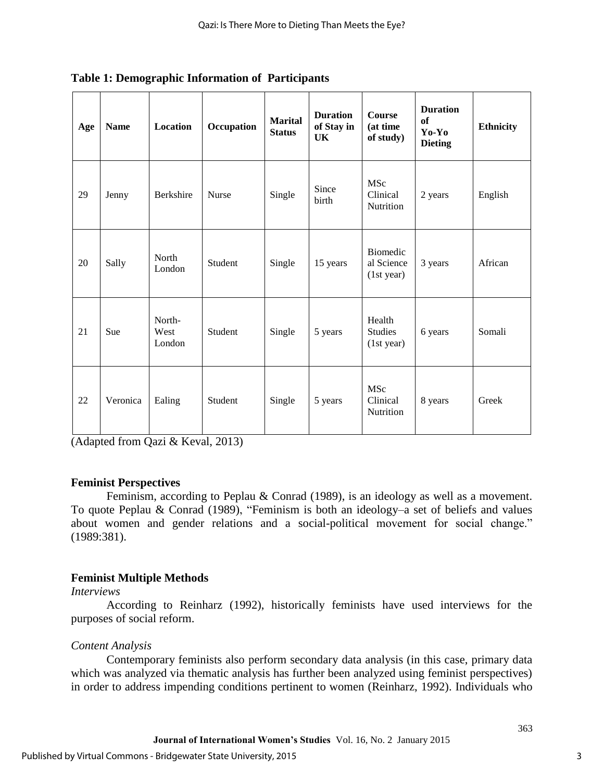| Age | <b>Name</b> | Location                 | Occupation   | <b>Marital</b><br><b>Status</b> | <b>Duration</b><br>of Stay in<br>UK | <b>Course</b><br>(at time<br>of study)     | <b>Duration</b><br>of<br>Yo-Yo<br><b>Dieting</b> | <b>Ethnicity</b> |
|-----|-------------|--------------------------|--------------|---------------------------------|-------------------------------------|--------------------------------------------|--------------------------------------------------|------------------|
| 29  | Jenny       | <b>Berkshire</b>         | <b>Nurse</b> | Single                          | Since<br>birth                      | MSc<br>Clinical<br><b>Nutrition</b>        | 2 years                                          | English          |
| 20  | Sally       | North<br>London          | Student      | Single                          | 15 years                            | Biomedic<br>al Science<br>(1st year)       | 3 years                                          | African          |
| 21  | Sue         | North-<br>West<br>London | Student      | Single                          | 5 years                             | Health<br><b>Studies</b><br>(1st year)     | 6 years                                          | Somali           |
| 22  | Veronica    | Ealing                   | Student      | Single                          | 5 years                             | <b>MSc</b><br>Clinical<br><b>Nutrition</b> | 8 years                                          | Greek            |

**Table 1: Demographic Information of Participants** 

(Adapted from Qazi & Keval, 2013)

## **Feminist Perspectives**

Feminism, according to Peplau & Conrad (1989), is an ideology as well as a movement. To quote Peplau & Conrad (1989), "Feminism is both an ideology–a set of beliefs and values about women and gender relations and a social-political movement for social change." (1989:381).

## **Feminist Multiple Methods**

## *Interviews*

According to Reinharz (1992), historically feminists have used interviews for the purposes of social reform.

## *Content Analysis*

Contemporary feminists also perform secondary data analysis (in this case, primary data which was analyzed via thematic analysis has further been analyzed using feminist perspectives) in order to address impending conditions pertinent to women (Reinharz, 1992). Individuals who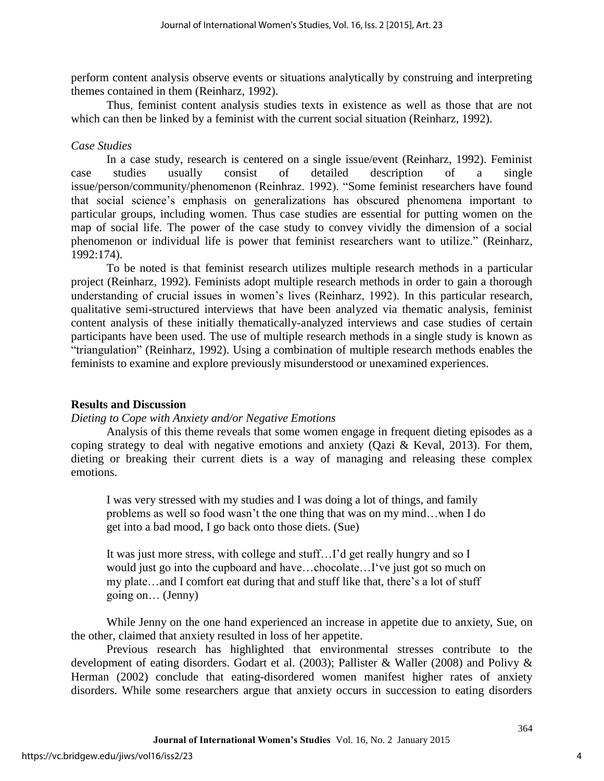perform content analysis observe events or situations analytically by construing and interpreting themes contained in them (Reinharz, 1992).

Thus, feminist content analysis studies texts in existence as well as those that are not which can then be linked by a feminist with the current social situation (Reinharz, 1992).

## *Case Studies*

In a case study, research is centered on a single issue/event (Reinharz, 1992). Feminist case studies usually consist of detailed description of a single issue/person/community/phenomenon (Reinhraz. 1992). "Some feminist researchers have found that social science's emphasis on generalizations has obscured phenomena important to particular groups, including women. Thus case studies are essential for putting women on the map of social life. The power of the case study to convey vividly the dimension of a social phenomenon or individual life is power that feminist researchers want to utilize." (Reinharz, 1992:174).

To be noted is that feminist research utilizes multiple research methods in a particular project (Reinharz, 1992). Feminists adopt multiple research methods in order to gain a thorough understanding of crucial issues in women's lives (Reinharz, 1992). In this particular research, qualitative semi-structured interviews that have been analyzed via thematic analysis, feminist content analysis of these initially thematically-analyzed interviews and case studies of certain participants have been used. The use of multiple research methods in a single study is known as "triangulation" (Reinharz, 1992). Using a combination of multiple research methods enables the feminists to examine and explore previously misunderstood or unexamined experiences.

## **Results and Discussion**

## *Dieting to Cope with Anxiety and/or Negative Emotions*

Analysis of this theme reveals that some women engage in frequent dieting episodes as a coping strategy to deal with negative emotions and anxiety (Oazi & Keval, 2013). For them, dieting or breaking their current diets is a way of managing and releasing these complex emotions.

I was very stressed with my studies and I was doing a lot of things, and family problems as well so food wasn't the one thing that was on my mind…when I do get into a bad mood, I go back onto those diets. (Sue)

It was just more stress, with college and stuff…I'd get really hungry and so I would just go into the cupboard and have…chocolate…I've just got so much on my plate…and I comfort eat during that and stuff like that, there's a lot of stuff going on… (Jenny)

While Jenny on the one hand experienced an increase in appetite due to anxiety, Sue, on the other, claimed that anxiety resulted in loss of her appetite.

Previous research has highlighted that environmental stresses contribute to the development of eating disorders. Godart et al. (2003); Pallister & Waller (2008) and Polivy & Herman (2002) conclude that eating-disordered women manifest higher rates of anxiety disorders. While some researchers argue that anxiety occurs in succession to eating disorders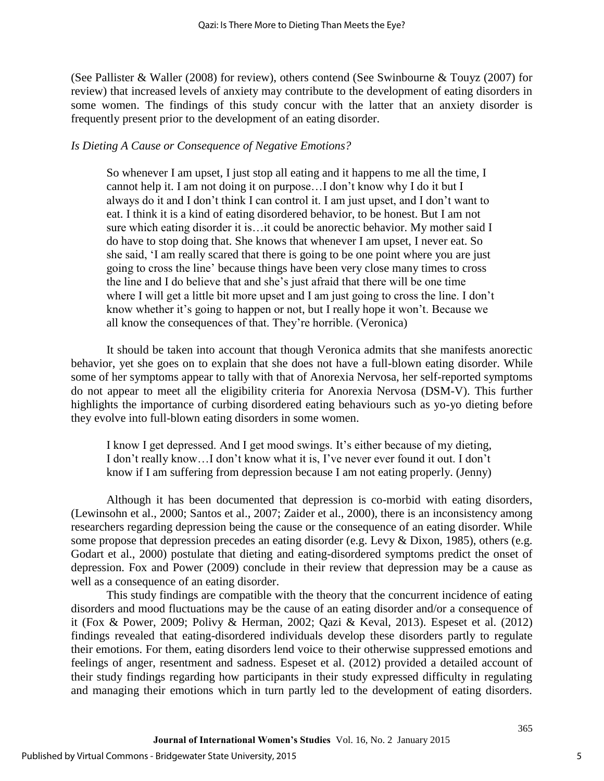(See Pallister & Waller (2008) for review), others contend (See Swinbourne & Touyz (2007) for review) that increased levels of anxiety may contribute to the development of eating disorders in some women. The findings of this study concur with the latter that an anxiety disorder is frequently present prior to the development of an eating disorder.

## *Is Dieting A Cause or Consequence of Negative Emotions?*

So whenever I am upset, I just stop all eating and it happens to me all the time, I cannot help it. I am not doing it on purpose…I don't know why I do it but I always do it and I don't think I can control it. I am just upset, and I don't want to eat. I think it is a kind of eating disordered behavior, to be honest. But I am not sure which eating disorder it is…it could be anorectic behavior. My mother said I do have to stop doing that. She knows that whenever I am upset, I never eat. So she said, 'I am really scared that there is going to be one point where you are just going to cross the line' because things have been very close many times to cross the line and I do believe that and she's just afraid that there will be one time where I will get a little bit more upset and I am just going to cross the line. I don't know whether it's going to happen or not, but I really hope it won't. Because we all know the consequences of that. They're horrible. (Veronica)

It should be taken into account that though Veronica admits that she manifests anorectic behavior, yet she goes on to explain that she does not have a full-blown eating disorder. While some of her symptoms appear to tally with that of Anorexia Nervosa, her self-reported symptoms do not appear to meet all the eligibility criteria for Anorexia Nervosa (DSM-V). This further highlights the importance of curbing disordered eating behaviours such as yo-yo dieting before they evolve into full-blown eating disorders in some women.

I know I get depressed. And I get mood swings. It's either because of my dieting, I don't really know…I don't know what it is, I've never ever found it out. I don't know if I am suffering from depression because I am not eating properly. (Jenny)

Although it has been documented that depression is co-morbid with eating disorders, (Lewinsohn et al., 2000; Santos et al., 2007; Zaider et al., 2000), there is an inconsistency among researchers regarding depression being the cause or the consequence of an eating disorder. While some propose that depression precedes an eating disorder (e.g. Levy & Dixon, 1985), others (e.g. Godart et al., 2000) postulate that dieting and eating-disordered symptoms predict the onset of depression. Fox and Power (2009) conclude in their review that depression may be a cause as well as a consequence of an eating disorder.

This study findings are compatible with the theory that the concurrent incidence of eating disorders and mood fluctuations may be the cause of an eating disorder and/or a consequence of it (Fox & Power, 2009; Polivy & Herman, 2002; Qazi & Keval, 2013). Espeset et al. (2012) findings revealed that eating-disordered individuals develop these disorders partly to regulate their emotions. For them, eating disorders lend voice to their otherwise suppressed emotions and feelings of anger, resentment and sadness. Espeset et al. (2012) provided a detailed account of their study findings regarding how participants in their study expressed difficulty in regulating and managing their emotions which in turn partly led to the development of eating disorders.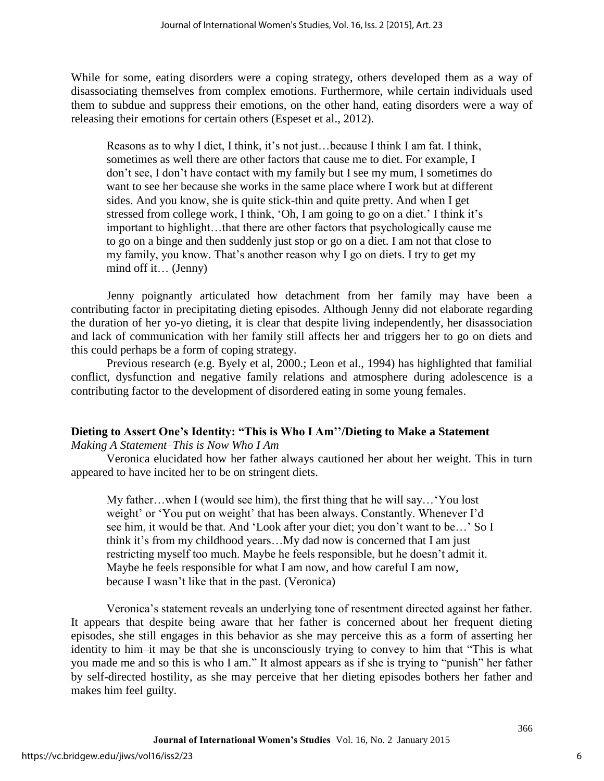While for some, eating disorders were a coping strategy, others developed them as a way of disassociating themselves from complex emotions. Furthermore, while certain individuals used them to subdue and suppress their emotions, on the other hand, eating disorders were a way of releasing their emotions for certain others (Espeset et al., 2012).

Reasons as to why I diet, I think, it's not just…because I think I am fat. I think, sometimes as well there are other factors that cause me to diet. For example, I don't see, I don't have contact with my family but I see my mum, I sometimes do want to see her because she works in the same place where I work but at different sides. And you know, she is quite stick-thin and quite pretty. And when I get stressed from college work, I think, 'Oh, I am going to go on a diet.' I think it's important to highlight…that there are other factors that psychologically cause me to go on a binge and then suddenly just stop or go on a diet. I am not that close to my family, you know. That's another reason why I go on diets. I try to get my mind off it… (Jenny)

Jenny poignantly articulated how detachment from her family may have been a contributing factor in precipitating dieting episodes. Although Jenny did not elaborate regarding the duration of her yo-yo dieting, it is clear that despite living independently, her disassociation and lack of communication with her family still affects her and triggers her to go on diets and this could perhaps be a form of coping strategy.

Previous research (e.g. Byely et al, 2000.; Leon et al., 1994) has highlighted that familial conflict, dysfunction and negative family relations and atmosphere during adolescence is a contributing factor to the development of disordered eating in some young females.

## **Dieting to Assert One's Identity: "This is Who I Am''/Dieting to Make a Statement**

*Making A Statement–This is Now Who I Am* 

Veronica elucidated how her father always cautioned her about her weight. This in turn appeared to have incited her to be on stringent diets.

My father…when I (would see him), the first thing that he will say…'You lost weight' or 'You put on weight' that has been always. Constantly. Whenever I'd see him, it would be that. And 'Look after your diet; you don't want to be…' So I think it's from my childhood years…My dad now is concerned that I am just restricting myself too much. Maybe he feels responsible, but he doesn't admit it. Maybe he feels responsible for what I am now, and how careful I am now, because I wasn't like that in the past. (Veronica)

Veronica's statement reveals an underlying tone of resentment directed against her father. It appears that despite being aware that her father is concerned about her frequent dieting episodes, she still engages in this behavior as she may perceive this as a form of asserting her identity to him–it may be that she is unconsciously trying to convey to him that "This is what you made me and so this is who I am." It almost appears as if she is trying to "punish" her father by self-directed hostility, as she may perceive that her dieting episodes bothers her father and makes him feel guilty.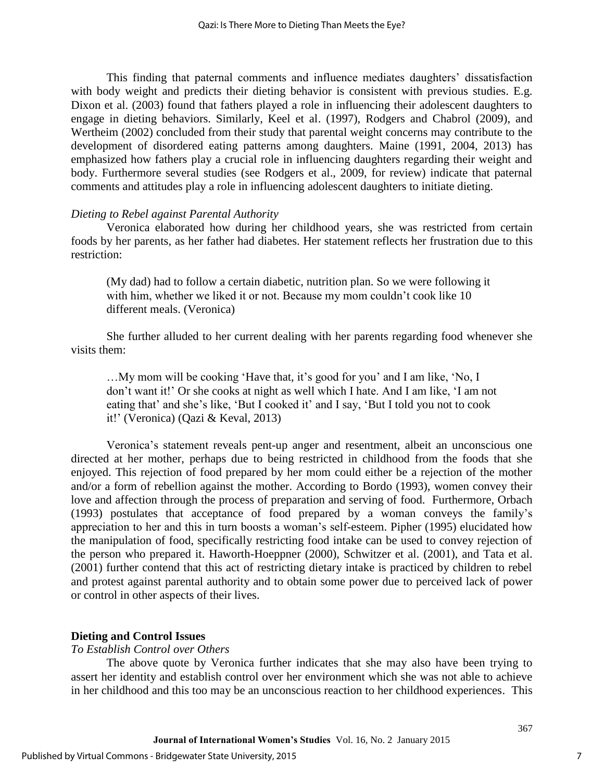This finding that paternal comments and influence mediates daughters' dissatisfaction with body weight and predicts their dieting behavior is consistent with previous studies. E.g. Dixon et al. (2003) found that fathers played a role in influencing their adolescent daughters to engage in dieting behaviors. Similarly, Keel et al. (1997), Rodgers and Chabrol (2009), and Wertheim (2002) concluded from their study that parental weight concerns may contribute to the development of disordered eating patterns among daughters. Maine (1991, 2004, 2013) has emphasized how fathers play a crucial role in influencing daughters regarding their weight and body. Furthermore several studies (see Rodgers et al., 2009, for review) indicate that paternal comments and attitudes play a role in influencing adolescent daughters to initiate dieting.

## *Dieting to Rebel against Parental Authority*

Veronica elaborated how during her childhood years, she was restricted from certain foods by her parents, as her father had diabetes. Her statement reflects her frustration due to this restriction:

(My dad) had to follow a certain diabetic, nutrition plan. So we were following it with him, whether we liked it or not. Because my mom couldn't cook like 10 different meals. (Veronica)

She further alluded to her current dealing with her parents regarding food whenever she visits them:

…My mom will be cooking 'Have that, it's good for you' and I am like, 'No, I don't want it!' Or she cooks at night as well which I hate. And I am like, 'I am not eating that' and she's like, 'But I cooked it' and I say, 'But I told you not to cook it!' (Veronica) (Qazi & Keval, 2013)

Veronica's statement reveals pent-up anger and resentment, albeit an unconscious one directed at her mother, perhaps due to being restricted in childhood from the foods that she enjoyed. This rejection of food prepared by her mom could either be a rejection of the mother and/or a form of rebellion against the mother. According to Bordo (1993), women convey their love and affection through the process of preparation and serving of food. Furthermore, Orbach (1993) postulates that acceptance of food prepared by a woman conveys the family's appreciation to her and this in turn boosts a woman's self-esteem. Pipher (1995) elucidated how the manipulation of food, specifically restricting food intake can be used to convey rejection of the person who prepared it. Haworth-Hoeppner (2000), Schwitzer et al. (2001), and Tata et al. (2001) further contend that this act of restricting dietary intake is practiced by children to rebel and protest against parental authority and to obtain some power due to perceived lack of power or control in other aspects of their lives.

## **Dieting and Control Issues**

#### *To Establish Control over Others*

The above quote by Veronica further indicates that she may also have been trying to assert her identity and establish control over her environment which she was not able to achieve in her childhood and this too may be an unconscious reaction to her childhood experiences. This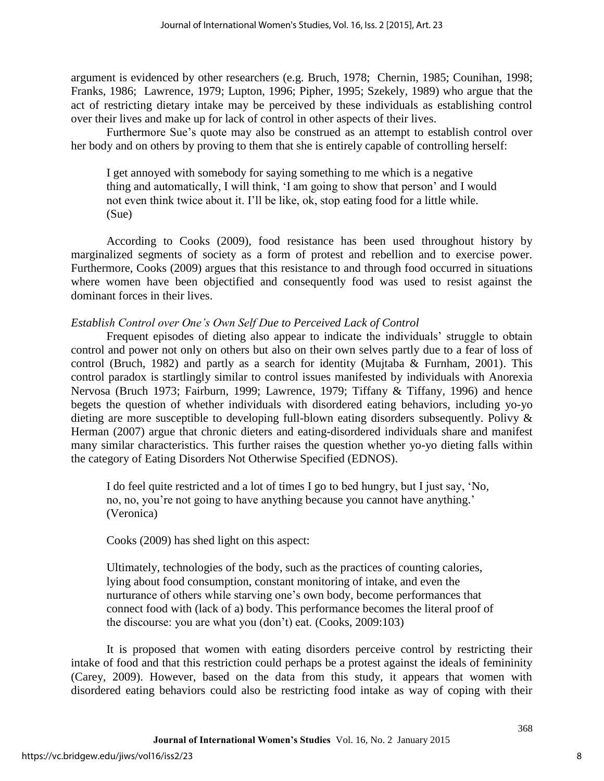argument is evidenced by other researchers (e.g. Bruch, 1978; Chernin, 1985; Counihan, 1998; Franks, 1986; Lawrence, 1979; Lupton, 1996; Pipher, 1995; Szekely, 1989) who argue that the act of restricting dietary intake may be perceived by these individuals as establishing control over their lives and make up for lack of control in other aspects of their lives.

Furthermore Sue's quote may also be construed as an attempt to establish control over her body and on others by proving to them that she is entirely capable of controlling herself:

I get annoyed with somebody for saying something to me which is a negative thing and automatically, I will think, 'I am going to show that person' and I would not even think twice about it. I'll be like, ok, stop eating food for a little while. (Sue)

According to Cooks (2009), food resistance has been used throughout history by marginalized segments of society as a form of protest and rebellion and to exercise power. Furthermore, Cooks (2009) argues that this resistance to and through food occurred in situations where women have been objectified and consequently food was used to resist against the dominant forces in their lives.

## *Establish Control over One's Own Self Due to Perceived Lack of Control*

Frequent episodes of dieting also appear to indicate the individuals' struggle to obtain control and power not only on others but also on their own selves partly due to a fear of loss of control (Bruch, 1982) and partly as a search for identity (Mujtaba & Furnham, 2001). This control paradox is startlingly similar to control issues manifested by individuals with Anorexia Nervosa (Bruch 1973; Fairburn, 1999; Lawrence, 1979; Tiffany & Tiffany, 1996) and hence begets the question of whether individuals with disordered eating behaviors, including yo-yo dieting are more susceptible to developing full-blown eating disorders subsequently. Polivy & Herman (2007) argue that chronic dieters and eating-disordered individuals share and manifest many similar characteristics. This further raises the question whether yo-yo dieting falls within the category of Eating Disorders Not Otherwise Specified (EDNOS).

I do feel quite restricted and a lot of times I go to bed hungry, but I just say, 'No, no, no, you're not going to have anything because you cannot have anything.' (Veronica)

Cooks (2009) has shed light on this aspect:

Ultimately, technologies of the body, such as the practices of counting calories, lying about food consumption, constant monitoring of intake, and even the nurturance of others while starving one's own body, become performances that connect food with (lack of a) body. This performance becomes the literal proof of the discourse: you are what you (don't) eat. (Cooks, 2009:103)

It is proposed that women with eating disorders perceive control by restricting their intake of food and that this restriction could perhaps be a protest against the ideals of femininity (Carey, 2009). However, based on the data from this study, it appears that women with disordered eating behaviors could also be restricting food intake as way of coping with their

8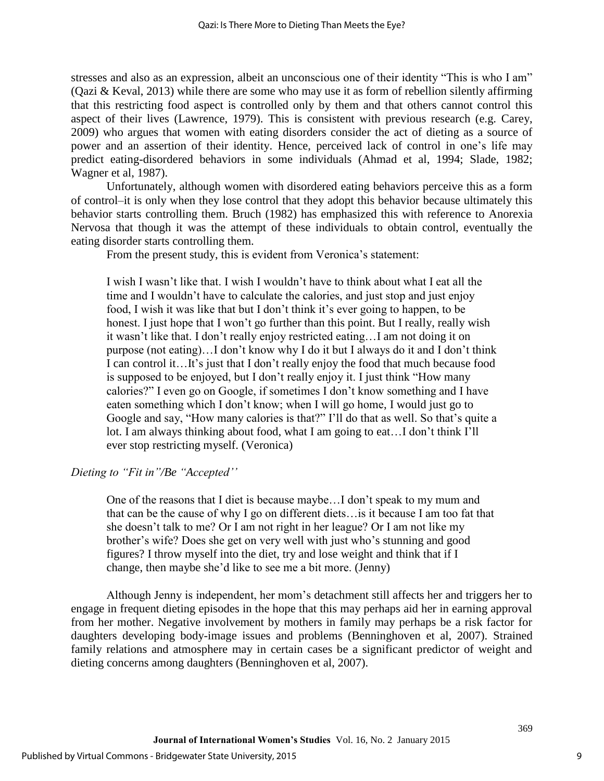stresses and also as an expression, albeit an unconscious one of their identity "This is who I am" (Qazi & Keval, 2013) while there are some who may use it as form of rebellion silently affirming that this restricting food aspect is controlled only by them and that others cannot control this aspect of their lives (Lawrence, 1979). This is consistent with previous research (e.g. Carey, 2009) who argues that women with eating disorders consider the act of dieting as a source of power and an assertion of their identity. Hence, perceived lack of control in one's life may predict eating-disordered behaviors in some individuals (Ahmad et al, 1994; Slade, 1982; Wagner et al, 1987).

Unfortunately, although women with disordered eating behaviors perceive this as a form of control–it is only when they lose control that they adopt this behavior because ultimately this behavior starts controlling them. Bruch (1982) has emphasized this with reference to Anorexia Nervosa that though it was the attempt of these individuals to obtain control, eventually the eating disorder starts controlling them.

From the present study, this is evident from Veronica's statement:

I wish I wasn't like that. I wish I wouldn't have to think about what I eat all the time and I wouldn't have to calculate the calories, and just stop and just enjoy food, I wish it was like that but I don't think it's ever going to happen, to be honest. I just hope that I won't go further than this point. But I really, really wish it wasn't like that. I don't really enjoy restricted eating…I am not doing it on purpose (not eating)…I don't know why I do it but I always do it and I don't think I can control it…It's just that I don't really enjoy the food that much because food is supposed to be enjoyed, but I don't really enjoy it. I just think "How many calories?" I even go on Google, if sometimes I don't know something and I have eaten something which I don't know; when I will go home, I would just go to Google and say, "How many calories is that?" I'll do that as well. So that's quite a lot. I am always thinking about food, what I am going to eat…I don't think I'll ever stop restricting myself. (Veronica)

## *Dieting to "Fit in"/Be "Accepted''*

One of the reasons that I diet is because maybe…I don't speak to my mum and that can be the cause of why I go on different diets…is it because I am too fat that she doesn't talk to me? Or I am not right in her league? Or I am not like my brother's wife? Does she get on very well with just who's stunning and good figures? I throw myself into the diet, try and lose weight and think that if I change, then maybe she'd like to see me a bit more. (Jenny)

Although Jenny is independent, her mom's detachment still affects her and triggers her to engage in frequent dieting episodes in the hope that this may perhaps aid her in earning approval from her mother. Negative involvement by mothers in family may perhaps be a risk factor for daughters developing body-image issues and problems (Benninghoven et al, 2007). Strained family relations and atmosphere may in certain cases be a significant predictor of weight and dieting concerns among daughters (Benninghoven et al, 2007).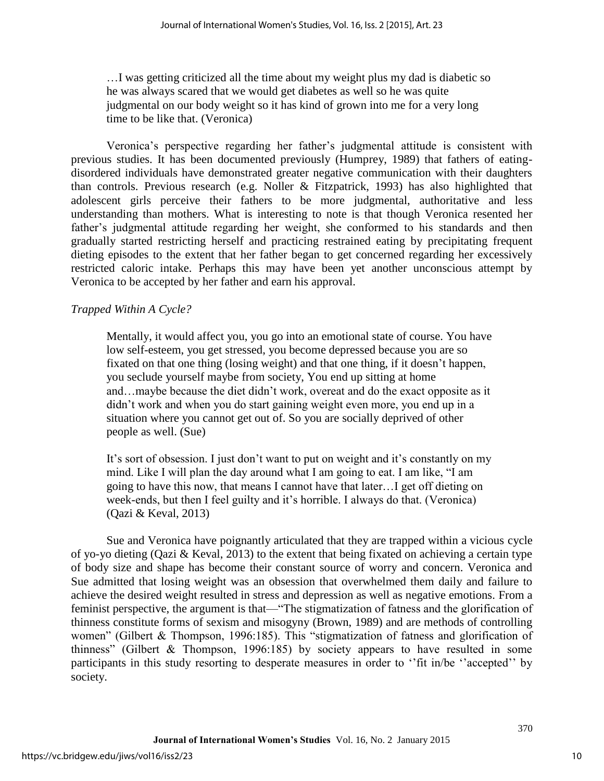…I was getting criticized all the time about my weight plus my dad is diabetic so he was always scared that we would get diabetes as well so he was quite judgmental on our body weight so it has kind of grown into me for a very long time to be like that. (Veronica)

Veronica's perspective regarding her father's judgmental attitude is consistent with previous studies. It has been documented previously (Humprey, 1989) that fathers of eatingdisordered individuals have demonstrated greater negative communication with their daughters than controls. Previous research (e.g. Noller & Fitzpatrick, 1993) has also highlighted that adolescent girls perceive their fathers to be more judgmental, authoritative and less understanding than mothers. What is interesting to note is that though Veronica resented her father's judgmental attitude regarding her weight, she conformed to his standards and then gradually started restricting herself and practicing restrained eating by precipitating frequent dieting episodes to the extent that her father began to get concerned regarding her excessively restricted caloric intake. Perhaps this may have been yet another unconscious attempt by Veronica to be accepted by her father and earn his approval.

## *Trapped Within A Cycle?*

Mentally, it would affect you, you go into an emotional state of course. You have low self-esteem, you get stressed, you become depressed because you are so fixated on that one thing (losing weight) and that one thing, if it doesn't happen, you seclude yourself maybe from society, You end up sitting at home and…maybe because the diet didn't work, overeat and do the exact opposite as it didn't work and when you do start gaining weight even more, you end up in a situation where you cannot get out of. So you are socially deprived of other people as well. (Sue)

It's sort of obsession. I just don't want to put on weight and it's constantly on my mind. Like I will plan the day around what I am going to eat. I am like, "I am going to have this now, that means I cannot have that later…I get off dieting on week-ends, but then I feel guilty and it's horrible. I always do that. (Veronica) (Qazi & Keval, 2013)

Sue and Veronica have poignantly articulated that they are trapped within a vicious cycle of yo-yo dieting (Qazi & Keval, 2013) to the extent that being fixated on achieving a certain type of body size and shape has become their constant source of worry and concern. Veronica and Sue admitted that losing weight was an obsession that overwhelmed them daily and failure to achieve the desired weight resulted in stress and depression as well as negative emotions. From a feminist perspective, the argument is that—"The stigmatization of fatness and the glorification of thinness constitute forms of sexism and misogyny (Brown, 1989) and are methods of controlling women" (Gilbert & Thompson, 1996:185). This "stigmatization of fatness and glorification of thinness" (Gilbert & Thompson, 1996:185) by society appears to have resulted in some participants in this study resorting to desperate measures in order to ''fit in/be ''accepted'' by society.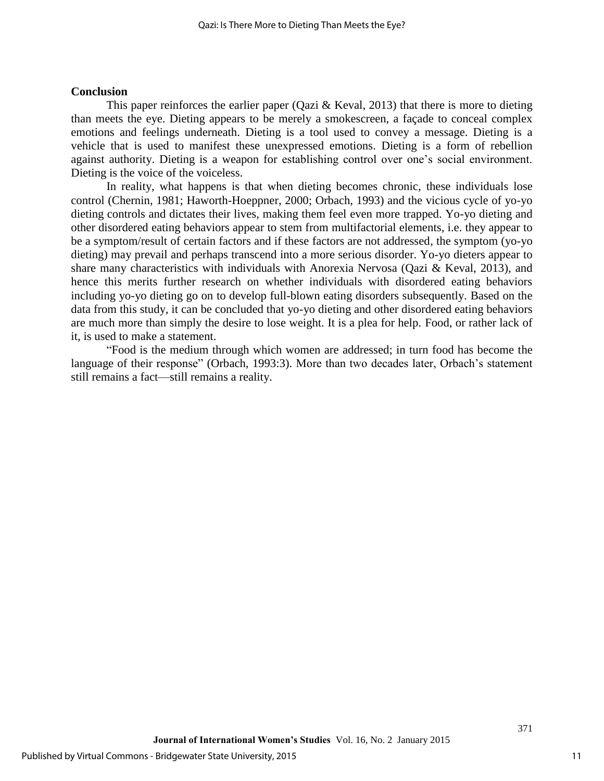#### **Conclusion**

This paper reinforces the earlier paper (Qazi  $\&$  Keval, 2013) that there is more to dieting than meets the eye. Dieting appears to be merely a smokescreen, a façade to conceal complex emotions and feelings underneath. Dieting is a tool used to convey a message. Dieting is a vehicle that is used to manifest these unexpressed emotions. Dieting is a form of rebellion against authority. Dieting is a weapon for establishing control over one's social environment. Dieting is the voice of the voiceless.

In reality, what happens is that when dieting becomes chronic, these individuals lose control (Chernin, 1981; Haworth-Hoeppner, 2000; Orbach, 1993) and the vicious cycle of yo-yo dieting controls and dictates their lives, making them feel even more trapped. Yo-yo dieting and other disordered eating behaviors appear to stem from multifactorial elements, i.e. they appear to be a symptom/result of certain factors and if these factors are not addressed, the symptom (yo-yo dieting) may prevail and perhaps transcend into a more serious disorder. Yo-yo dieters appear to share many characteristics with individuals with Anorexia Nervosa (Qazi & Keval, 2013), and hence this merits further research on whether individuals with disordered eating behaviors including yo-yo dieting go on to develop full-blown eating disorders subsequently. Based on the data from this study, it can be concluded that yo-yo dieting and other disordered eating behaviors are much more than simply the desire to lose weight. It is a plea for help. Food, or rather lack of it, is used to make a statement.

"Food is the medium through which women are addressed; in turn food has become the language of their response" (Orbach, 1993:3). More than two decades later, Orbach's statement still remains a fact—still remains a reality.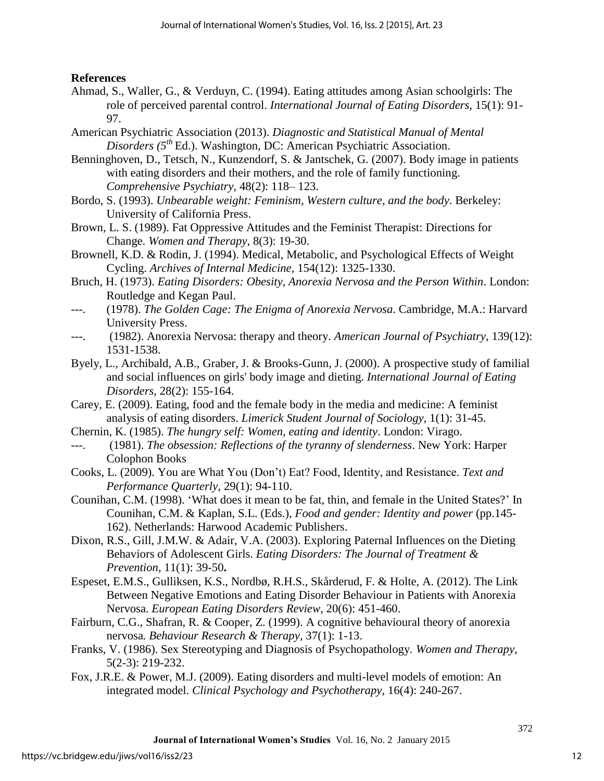## **References**

- Ahmad, S., Waller, G., & Verduyn, C. (1994). Eating attitudes among Asian schoolgirls: The role of perceived parental control. *International Journal of Eating Disorders,* 15(1): 91- 97.
- American Psychiatric Association (2013). *Diagnostic and Statistical Manual of Mental Disorders (5th* Ed.). Washington, DC: American Psychiatric Association.
- Benninghoven, D., Tetsch, N., Kunzendorf, S. & Jantschek, G. (2007). Body image in patients with eating disorders and their mothers, and the role of family functioning. *Comprehensive Psychiatry*, 48(2): 118– 123.
- Bordo, S. (1993). *Unbearable weight: Feminism, Western culture, and the body*. Berkeley: University of California Press.
- Brown, L. S. (1989). Fat Oppressive Attitudes and the Feminist Therapist: Directions for Change. *Women and Therapy,* 8(3): 19-30.
- Brownell, K.D. & Rodin, J. (1994). Medical, Metabolic, and Psychological Effects of Weight Cycling. *Archives of Internal Medicine*, 154(12): 1325-1330.
- Bruch, H. (1973). *Eating Disorders: Obesity, Anorexia Nervosa and the Person Within*. London: Routledge and Kegan Paul.
- ---. (1978). *The Golden Cage: The Enigma of Anorexia Nervosa*. Cambridge, M.A.: Harvard University Press.
- ---. (1982). Anorexia Nervosa: therapy and theory*. American Journal of Psychiatry*, 139(12): 1531-1538.
- Byely, L., Archibald, A.B., Graber, J. & Brooks-Gunn, J. (2000). A prospective study of familial and social influences on girls' body image and dieting. *International Journal of Eating Disorders*, 28(2): 155-164.
- Carey, E. (2009). Eating, food and the female body in the media and medicine: A feminist analysis of eating disorders. *Limerick Student Journal of Sociology*, 1(1): 31-45.
- Chernin, K. (1985). *The hungry self: Women, eating and identity*. London: Virago.
- (1981). *The obsession: Reflections of the tyranny of slenderness*. New York: Harper Colophon Books
- Cooks, L. (2009). You are What You (Don't) Eat? Food, Identity, and Resistance. *Text and Performance Quarterly*, 29(1): 94-110.
- Counihan, C.M. (1998). 'What does it mean to be fat, thin, and female in the United States?' In Counihan, C.M. & Kaplan, S.L. (Eds.), *Food and gender: Identity and power* (pp.145- 162). Netherlands: Harwood Academic Publishers.
- Dixon, R.S., Gill, J.M.W. & Adair, V.A. (2003). Exploring Paternal Influences on the Dieting Behaviors of Adolescent Girls. *Eating Disorders: The Journal of Treatment & Prevention*, 11(1): 39-50**.**
- Espeset, E.M.S., Gulliksen, K.S., Nordbø, R.H.S., Skårderud, F. & Holte, A. (2012). The Link Between Negative Emotions and Eating Disorder Behaviour in Patients with Anorexia Nervosa. *European Eating Disorders Review*, 20(6): 451-460.
- Fairburn, C.G., Shafran, R. & Cooper, Z. (1999). A cognitive behavioural theory of anorexia nervosa*. Behaviour Research & Therapy*, 37(1): 1-13.
- Franks, V. (1986). Sex Stereotyping and Diagnosis of Psychopathology*. Women and Therapy*, 5(2-3): 219-232.
- Fox, J.R.E. & Power, M.J. (2009). Eating disorders and multi-level models of emotion: An integrated model. *Clinical Psychology and Psychotherapy*, 16(4): 240-267.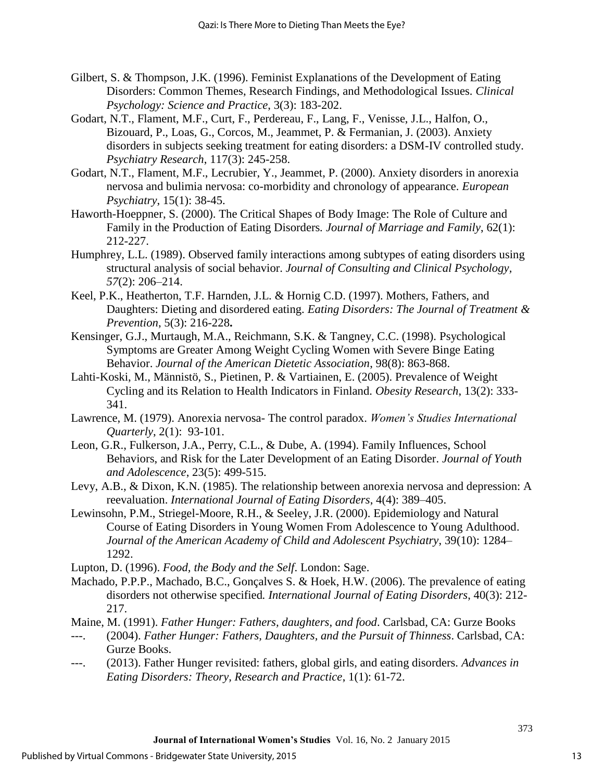- Gilbert, S. & Thompson, J.K. (1996). Feminist Explanations of the Development of Eating Disorders: Common Themes, Research Findings, and Methodological Issues. *Clinical Psychology: Science and Practice*, 3(3): 183-202.
- Godart, N.T., Flament, M.F., Curt, F., Perdereau, F., Lang, F., Venisse, J.L., Halfon, O., Bizouard, P., Loas, G., Corcos, M., Jeammet, P. & Fermanian, J. (2003). Anxiety disorders in subjects seeking treatment for eating disorders: a DSM-IV controlled study. *Psychiatry Research*, 117(3): 245-258.
- Godart, N.T., Flament, M.F., Lecrubier, Y., Jeammet, P. (2000). Anxiety disorders in anorexia nervosa and bulimia nervosa: co-morbidity and chronology of appearance. *European Psychiatry*, 15(1): 38-45.
- Haworth-Hoeppner, S. (2000). The Critical Shapes of Body Image: The Role of Culture and Family in the Production of Eating Disorders*. Journal of Marriage and Family*, 62(1): 212-227.
- Humphrey, L.L. (1989). Observed family interactions among subtypes of eating disorders using structural analysis of social behavior. *Journal of Consulting and Clinical Psychology, 57*(2): 206–214.
- Keel, P.K., Heatherton, T.F. Harnden, J.L. & Hornig C.D. (1997). Mothers, Fathers, and Daughters: Dieting and disordered eating. *Eating Disorders: The Journal of Treatment & Prevention*, 5(3): 216-228**.**
- Kensinger, G.J., Murtaugh, M.A., Reichmann, S.K. & Tangney, C.C. (1998). Psychological Symptoms are Greater Among Weight Cycling Women with Severe Binge Eating Behavior. *Journal of the American Dietetic Association*, 98(8): 863-868.
- Lahti-Koski, M., Männistö, S., Pietinen, P. & Vartiainen, E. (2005). Prevalence of Weight Cycling and its Relation to Health Indicators in Finland. *Obesity Research*, 13(2): 333- 341.
- Lawrence, M. (1979). Anorexia nervosa- The control paradox. *Women's Studies International Quarterly*, 2(1): 93-101.
- Leon, G.R., Fulkerson, J.A., Perry, C.L., & Dube, A. (1994). Family Influences, School Behaviors, and Risk for the Later Development of an Eating Disorder. *Journal of Youth and Adolescence*, 23(5): 499-515.
- Levy, A.B., & Dixon, K.N. (1985). The relationship between anorexia nervosa and depression: A reevaluation. *International Journal of Eating Disorders*, 4(4): 389–405.
- Lewinsohn, P.M., Striegel-Moore, R.H., & Seeley, J.R. (2000). Epidemiology and Natural Course of Eating Disorders in Young Women From Adolescence to Young Adulthood. *Journal of the American Academy of Child and Adolescent Psychiatry*, 39(10): 1284– 1292.
- Lupton, D. (1996). *Food, the Body and the Self*. London: Sage.
- Machado, P.P.P., Machado, B.C., Gonçalves S. & Hoek, H.W. (2006). The prevalence of eating disorders not otherwise specified*. International Journal of Eating Disorders*, 40(3): 212- 217.
- Maine, M. (1991). *Father Hunger: Fathers, daughters, and food*. Carlsbad, CA: Gurze Books
- ---. (2004). *Father Hunger: Fathers, Daughters, and the Pursuit of Thinness*. Carlsbad, CA: Gurze Books.
- ---. (2013). Father Hunger revisited: fathers, global girls, and eating disorders. *Advances in Eating Disorders: Theory, Research and Practice*, 1(1): 61-72.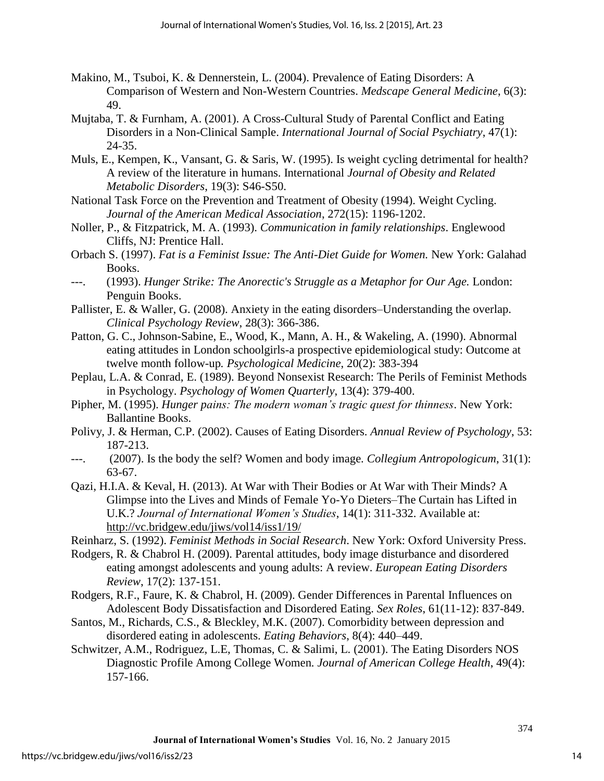- Makino, M., Tsuboi, K. & Dennerstein, L. (2004). Prevalence of Eating Disorders: A Comparison of Western and Non-Western Countries. *Medscape General Medicine*, 6(3): 49.
- Mujtaba, T. & Furnham, A. (2001). A Cross-Cultural Study of Parental Conflict and Eating Disorders in a Non-Clinical Sample. *International Journal of Social Psychiatry*, 47(1): 24-35.
- Muls, E., Kempen, K., Vansant, G. & Saris, W. (1995). Is weight cycling detrimental for health? A review of the literature in humans. International *Journal of Obesity and Related Metabolic Disorders*, 19(3): S46-S50.
- National Task Force on the Prevention and Treatment of Obesity (1994). Weight Cycling. *Journal of the American Medical Association*, 272(15): 1196-1202.
- Noller, P., & Fitzpatrick, M. A. (1993). *Communication in family relationships*. Englewood Cliffs, NJ: Prentice Hall.
- Orbach S. (1997). *Fat is a Feminist Issue: The Anti-Diet Guide for Women.* New York: Galahad Books.
- ---. (1993). *Hunger Strike: The Anorectic's Struggle as a Metaphor for Our Age.* London: Penguin Books.
- Pallister, E. & Waller, G. (2008). Anxiety in the eating disorders–Understanding the overlap. *Clinical Psychology Review*, 28(3): 366-386.
- Patton, G. C., Johnson-Sabine, E., Wood, K., Mann, A. H., & Wakeling, A. (1990). Abnormal eating attitudes in London schoolgirls-a prospective epidemiological study: Outcome at twelve month follow-up*. Psychological Medicine*, 20(2): 383-394
- Peplau, L.A. & Conrad, E. (1989). Beyond Nonsexist Research: The Perils of Feminist Methods in Psychology. *Psychology of Women Quarterly*, 13(4): 379-400.
- Pipher, M. (1995). *Hunger pains: The modern woman's tragic quest for thinness*. New York: Ballantine Books.
- Polivy, J. & Herman, C.P. (2002). Causes of Eating Disorders. *Annual Review of Psychology*, 53: 187-213.
- ---. (2007). Is the body the self? Women and body image*. Collegium Antropologicum*, 31(1): 63-67.
- Qazi, H.I.A. & Keval, H. (2013). At War with Their Bodies or At War with Their Minds? A Glimpse into the Lives and Minds of Female Yo-Yo Dieters–The Curtain has Lifted in U.K.? *Journal of International Women's Studies*, 14(1): 311-332. Available at: <http://vc.bridgew.edu/jiws/vol14/iss1/19/>
- Reinharz, S. (1992). *Feminist Methods in Social Research*. New York: Oxford University Press.
- Rodgers, R. & Chabrol H. (2009). Parental attitudes, body image disturbance and disordered eating amongst adolescents and young adults: A review. *European Eating Disorders Review*, 17(2): 137-151.
- Rodgers, R.F., Faure, K. & Chabrol, H. (2009). Gender Differences in Parental Influences on Adolescent Body Dissatisfaction and Disordered Eating. *Sex Roles*, 61(11-12): 837-849.
- Santos, M., Richards, C.S., & Bleckley, M.K. (2007). Comorbidity between depression and disordered eating in adolescents. *Eating Behaviors*, 8(4): 440–449.
- Schwitzer, A.M., Rodriguez, L.E, Thomas, C. & Salimi, L. (2001). The Eating Disorders NOS Diagnostic Profile Among College Women*. Journal of American College Health*, 49(4): 157-166.